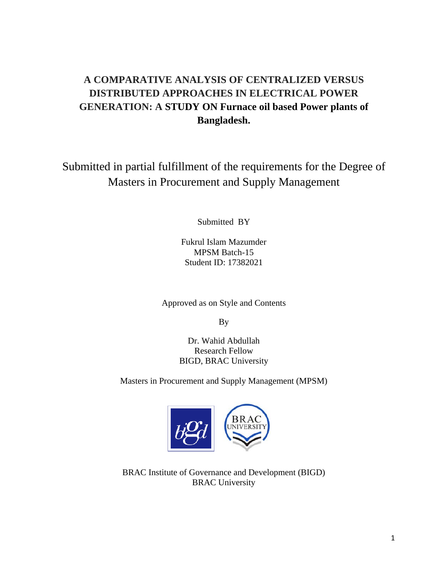## **A COMPARATIVE ANALYSIS OF CENTRALIZED VERSUS DISTRIBUTED APPROACHES IN ELECTRICAL POWER GENERATION: A STUDY ON Furnace oil based Power plants of Bangladesh.**

Submitted in partial fulfillment of the requirements for the Degree of Masters in Procurement and Supply Management

Submitted BY

Fukrul Islam Mazumder MPSM Batch-15 Student ID: 17382021

Approved as on Style and Contents

By

Dr. Wahid Abdullah Research Fellow BIGD, BRAC University

Masters in Procurement and Supply Management (MPSM)



BRAC Institute of Governance and Development (BIGD) BRAC University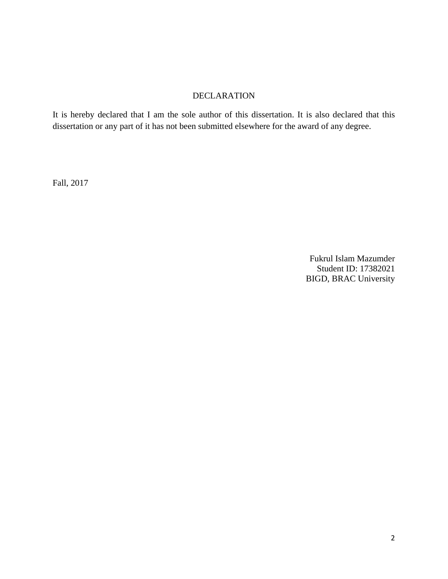#### DECLARATION

It is hereby declared that I am the sole author of this dissertation. It is also declared that this dissertation or any part of it has not been submitted elsewhere for the award of any degree.

Fall, 2017

Fukrul Islam Mazumder Student ID: 17382021 BIGD, BRAC University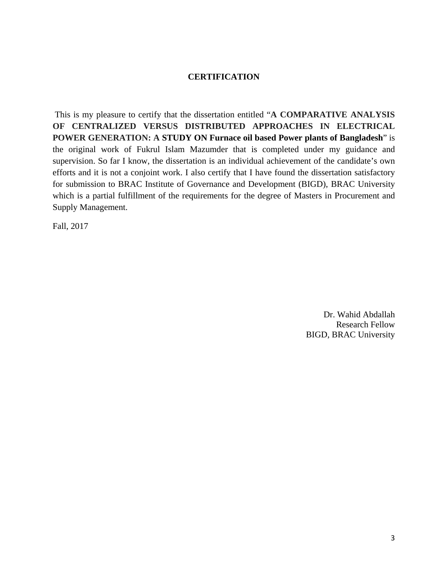#### **CERTIFICATION**

 This is my pleasure to certify that the dissertation entitled "**A COMPARATIVE ANALYSIS OF CENTRALIZED VERSUS DISTRIBUTED APPROACHES IN ELECTRICAL POWER GENERATION: A STUDY ON Furnace oil based Power plants of Bangladesh**" is the original work of Fukrul Islam Mazumder that is completed under my guidance and supervision. So far I know, the dissertation is an individual achievement of the candidate's own efforts and it is not a conjoint work. I also certify that I have found the dissertation satisfactory for submission to BRAC Institute of Governance and Development (BIGD), BRAC University which is a partial fulfillment of the requirements for the degree of Masters in Procurement and Supply Management.

Fall, 2017

Dr. Wahid Abdallah Research Fellow BIGD, BRAC University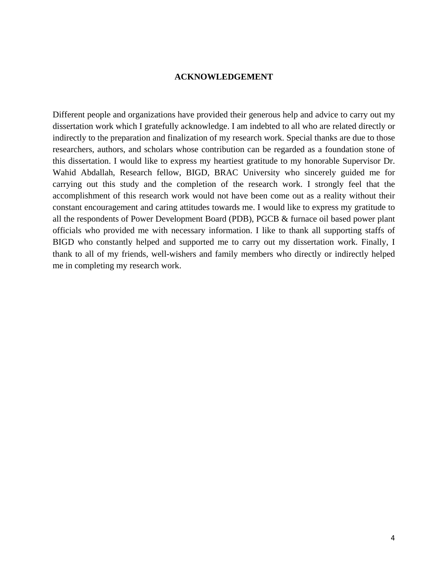#### **ACKNOWLEDGEMENT**

Different people and organizations have provided their generous help and advice to carry out my dissertation work which I gratefully acknowledge. I am indebted to all who are related directly or indirectly to the preparation and finalization of my research work. Special thanks are due to those researchers, authors, and scholars whose contribution can be regarded as a foundation stone of this dissertation. I would like to express my heartiest gratitude to my honorable Supervisor Dr. Wahid Abdallah, Research fellow, BIGD, BRAC University who sincerely guided me for carrying out this study and the completion of the research work. I strongly feel that the accomplishment of this research work would not have been come out as a reality without their constant encouragement and caring attitudes towards me. I would like to express my gratitude to all the respondents of Power Development Board (PDB), PGCB & furnace oil based power plant officials who provided me with necessary information. I like to thank all supporting staffs of BIGD who constantly helped and supported me to carry out my dissertation work. Finally, I thank to all of my friends, well-wishers and family members who directly or indirectly helped me in completing my research work.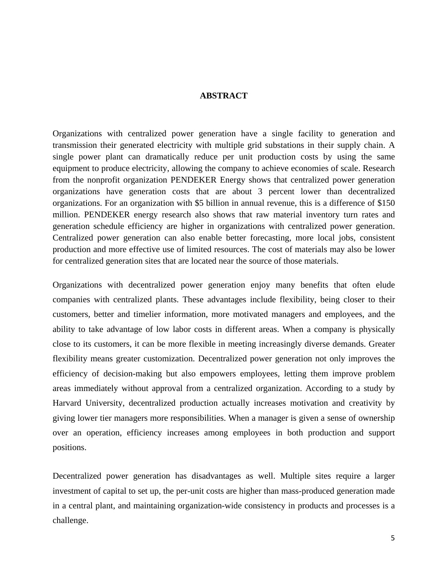#### **ABSTRACT**

Organizations with centralized power generation have a single facility to generation and transmission their generated electricity with multiple grid substations in their supply chain. A single power plant can dramatically reduce per unit production costs by using the same equipment to produce electricity, allowing the company to achieve economies of scale. Research from the nonprofit organization PENDEKER Energy shows that centralized power generation organizations have generation costs that are about 3 percent lower than decentralized organizations. For an organization with \$5 billion in annual revenue, this is a difference of \$150 million. PENDEKER energy research also shows that raw material inventory turn rates and generation schedule efficiency are higher in organizations with centralized power generation. Centralized power generation can also enable better forecasting, more local jobs, consistent production and more effective use of limited resources. The cost of materials may also be lower for centralized generation sites that are located near the source of those materials.

Organizations with decentralized power generation enjoy many benefits that often elude companies with centralized plants. These advantages include flexibility, being closer to their customers, better and timelier information, more motivated managers and employees, and the ability to take advantage of low labor costs in different areas. When a company is physically close to its customers, it can be more flexible in meeting increasingly diverse demands. Greater flexibility means greater customization. Decentralized power generation not only improves the efficiency of decision-making but also empowers employees, letting them improve problem areas immediately without approval from a centralized organization. According to a study by Harvard University, decentralized production actually increases motivation and creativity by giving lower tier managers more responsibilities. When a manager is given a sense of ownership over an operation, efficiency increases among employees in both production and support positions.

Decentralized power generation has disadvantages as well. Multiple sites require a larger investment of capital to set up, the per-unit costs are higher than mass-produced generation made in a central plant, and maintaining organization-wide consistency in products and processes is a challenge.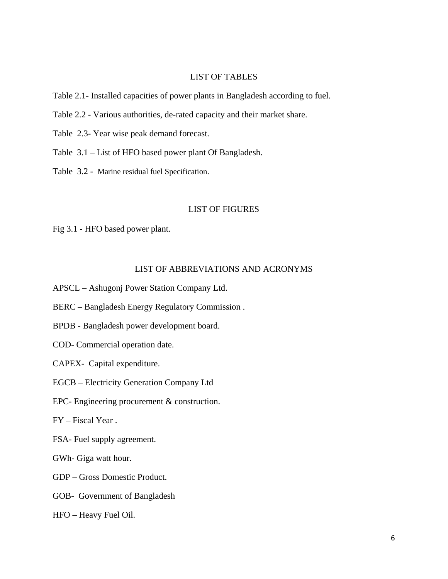#### LIST OF TABLES

Table 2.1- Installed capacities of power plants in Bangladesh according to fuel.

- Table 2.2 Various authorities, de-rated capacity and their market share.
- Table 2.3- Year wise peak demand forecast.
- Table 3.1 List of HFO based power plant Of Bangladesh.
- Table 3.2 Marine residual fuel Specification.

#### LIST OF FIGURES

Fig 3.1 - HFO based power plant.

#### LIST OF ABBREVIATIONS AND ACRONYMS

- APSCL Ashugonj Power Station Company Ltd.
- BERC Bangladesh Energy Regulatory Commission .
- BPDB Bangladesh power development board.
- COD- Commercial operation date.

CAPEX- Capital expenditure.

- EGCB Electricity Generation Company Ltd
- EPC- Engineering procurement & construction.

FY – Fiscal Year .

FSA- Fuel supply agreement.

GWh- Giga watt hour.

- GDP Gross Domestic Product.
- GOB- Government of Bangladesh
- HFO Heavy Fuel Oil.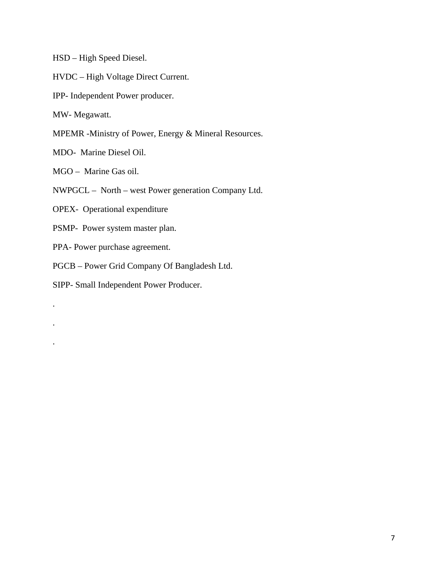HSD – High Speed Diesel.

HVDC – High Voltage Direct Current.

IPP- Independent Power producer.

MW- Megawatt.

.

.

.

MPEMR -Ministry of Power, Energy & Mineral Resources.

MDO- Marine Diesel Oil.

MGO – Marine Gas oil.

NWPGCL – North – west Power generation Company Ltd.

OPEX- Operational expenditure

PSMP- Power system master plan.

PPA- Power purchase agreement.

PGCB – Power Grid Company Of Bangladesh Ltd.

SIPP- Small Independent Power Producer.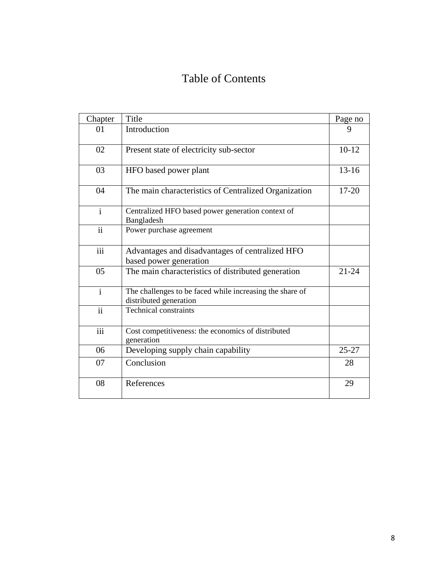# Table of Contents

| Chapter             | Title                                                                              | Page no   |
|---------------------|------------------------------------------------------------------------------------|-----------|
| 01                  | Introduction                                                                       | 9         |
| 02                  | Present state of electricity sub-sector                                            | $10-12$   |
| 03                  | HFO based power plant                                                              | $13 - 16$ |
| 04                  | The main characteristics of Centralized Organization                               | $17 - 20$ |
| $\mathbf{i}$        | Centralized HFO based power generation context of<br>Bangladesh                    |           |
| $\ddot{\mathbf{i}}$ | Power purchase agreement                                                           |           |
| iii                 | Advantages and disadvantages of centralized HFO<br>based power generation          |           |
| 05                  | The main characteristics of distributed generation                                 | $21 - 24$ |
| $\mathbf{i}$        | The challenges to be faced while increasing the share of<br>distributed generation |           |
| $\ddot{\mathbf{i}}$ | <b>Technical constraints</b>                                                       |           |
| iii                 | Cost competitiveness: the economics of distributed<br>generation                   |           |
| 06                  | Developing supply chain capability                                                 | $25 - 27$ |
| 07                  | Conclusion                                                                         | 28        |
| 08                  | References                                                                         | 29        |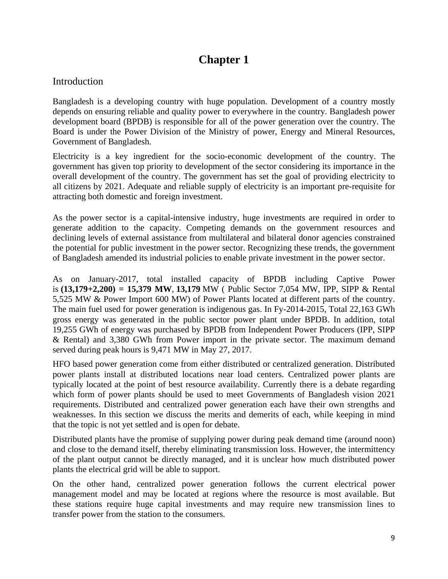## **Chapter 1**

## Introduction

Bangladesh is a developing country with huge population. Development of a country mostly depends on ensuring reliable and quality power to everywhere in the country. Bangladesh power development board (BPDB) is responsible for all of the power generation over the country. The Board is under the Power Division of the Ministry of power, Energy and Mineral Resources, Government of Bangladesh.

Electricity is a key ingredient for the socio-economic development of the country. The government has given top priority to development of the sector considering its importance in the overall development of the country. The government has set the goal of providing electricity to all citizens by 2021. Adequate and reliable supply of electricity is an important pre-requisite for attracting both domestic and foreign investment.

As the power sector is a capital-intensive industry, huge investments are required in order to generate addition to the capacity. Competing demands on the government resources and declining levels of external assistance from multilateral and bilateral donor agencies constrained the potential for public investment in the power sector. Recognizing these trends, the government of Bangladesh amended its industrial policies to enable private investment in the power sector.

As on January-2017, total installed capacity of BPDB including Captive Power is **(13,179+2,200) = 15,379 MW**, **13,179** MW ( Public Sector 7,054 MW, IPP, SIPP & Rental 5,525 MW & Power Import 600 MW) of Power Plants located at different parts of the country. The main fuel used for power generation is indigenous gas. In Fy-2014-2015, Total 22,163 GWh gross energy was generated in the public sector power plant under BPDB. In addition, total 19,255 GWh of energy was purchased by BPDB from Independent Power Producers (IPP, SIPP & Rental) and 3,380 GWh from Power import in the private sector. The maximum demand served during peak hours is 9,471 MW in May 27, 2017.

HFO based power generation come from either distributed or centralized generation. Distributed power plants install at distributed locations near load centers. Centralized power plants are typically located at the point of best resource availability. Currently there is a debate regarding which form of power plants should be used to meet Governments of Bangladesh vision 2021 requirements. Distributed and centralized power generation each have their own strengths and weaknesses. In this section we discuss the merits and demerits of each, while keeping in mind that the topic is not yet settled and is open for debate.

Distributed plants have the promise of supplying power during peak demand time (around noon) and close to the demand itself, thereby eliminating transmission loss. However, the intermittency of the plant output cannot be directly managed, and it is unclear how much distributed power plants the electrical grid will be able to support.

On the other hand, centralized power generation follows the current electrical power management model and may be located at regions where the resource is most available. But these stations require huge capital investments and may require new transmission lines to transfer power from the station to the consumers.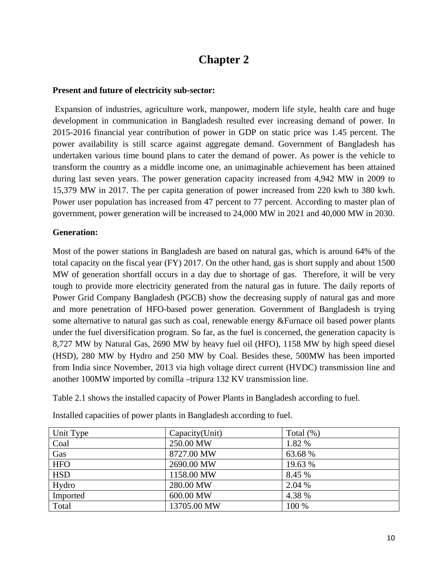## **Chapter 2**

## **Present and future of electricity sub-sector:**

 Expansion of industries, agriculture work, manpower, modern life style, health care and huge development in communication in Bangladesh resulted ever increasing demand of power. In 2015-2016 financial year contribution of power in GDP on static price was 1.45 percent. The power availability is still scarce against aggregate demand. Government of Bangladesh has undertaken various time bound plans to cater the demand of power. As power is the vehicle to transform the country as a middle income one, an unimaginable achievement has been attained during last seven years. The power generation capacity increased from 4,942 MW in 2009 to 15,379 MW in 2017. The per capita generation of power increased from 220 kwh to 380 kwh. Power user population has increased from 47 percent to 77 percent. According to master plan of government, power generation will be increased to 24,000 MW in 2021 and 40,000 MW in 2030.

## **Generation:**

Most of the power stations in Bangladesh are based on natural gas, which is around 64% of the total capacity on the fiscal year (FY) 2017. On the other hand, gas is short supply and about 1500 MW of generation shortfall occurs in a day due to shortage of gas. Therefore, it will be very tough to provide more electricity generated from the natural gas in future. The daily reports of Power Grid Company Bangladesh (PGCB) show the decreasing supply of natural gas and more and more penetration of HFO-based power generation. Government of Bangladesh is trying some alternative to natural gas such as coal, renewable energy &Furnace oil based power plants under the fuel diversification program. So far, as the fuel is concerned, the generation capacity is 8,727 MW by Natural Gas, 2690 MW by heavy fuel oil (HFO), 1158 MW by high speed diesel (HSD), 280 MW by Hydro and 250 MW by Coal. Besides these, 500MW has been imported from India since November, 2013 via high voltage direct current (HVDC) transmission line and another 100MW imported by comilla –tripura 132 KV transmission line.

Table 2.1 shows the installed capacity of Power Plants in Bangladesh according to fuel.

| Unit Type  | Capacity(Unit) | Total $(\%)$ |
|------------|----------------|--------------|
| Coal       | 250.00 MW      | 1.82 %       |
| Gas        | 8727.00 MW     | 63.68 %      |
| <b>HFO</b> | 2690.00 MW     | 19.63 %      |
| <b>HSD</b> | 1158.00 MW     | 8.45 %       |
| Hydro      | 280.00 MW      | 2.04 %       |
| Imported   | 600.00 MW      | 4.38 %       |
| Total      | 13705.00 MW    | 100 %        |

Installed capacities of power plants in Bangladesh according to fuel.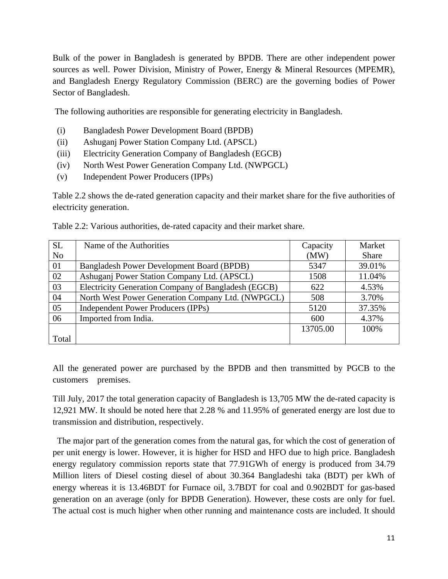Bulk of the power in Bangladesh is generated by BPDB. There are other independent power sources as well. Power Division, Ministry of Power, Energy & Mineral Resources (MPEMR), and Bangladesh Energy Regulatory Commission (BERC) are the governing bodies of Power Sector of Bangladesh.

The following authorities are responsible for generating electricity in Bangladesh.

- (i) Bangladesh Power Development Board (BPDB)
- (ii) Ashuganj Power Station Company Ltd. (APSCL)
- (iii) Electricity Generation Company of Bangladesh (EGCB)
- (iv) North West Power Generation Company Ltd. (NWPGCL)
- (v) Independent Power Producers (IPPs)

Table 2.2 shows the de-rated generation capacity and their market share for the five authorities of electricity generation.

| <b>SL</b>      | Name of the Authorities                             | Capacity | Market       |
|----------------|-----------------------------------------------------|----------|--------------|
| N <sub>o</sub> |                                                     | (MW)     | <b>Share</b> |
| 01             | <b>Bangladesh Power Development Board (BPDB)</b>    | 5347     | 39.01%       |
| 02             | Ashuganj Power Station Company Ltd. (APSCL)         | 1508     | 11.04%       |
| 03             | Electricity Generation Company of Bangladesh (EGCB) | 622      | 4.53%        |
| 04             | North West Power Generation Company Ltd. (NWPGCL)   | 508      | 3.70%        |
| 05             | Independent Power Producers (IPPs)                  | 5120     | 37.35%       |
| 06             | Imported from India.                                | 600      | 4.37%        |
|                |                                                     | 13705.00 | 100%         |
| Total          |                                                     |          |              |

Table 2.2: Various authorities, de-rated capacity and their market share.

All the generated power are purchased by the BPDB and then transmitted by PGCB to the customers premises.

Till July, 2017 the total generation capacity of Bangladesh is 13,705 MW the de-rated capacity is 12,921 MW. It should be noted here that 2.28 % and 11.95% of generated energy are lost due to transmission and distribution, respectively.

 The major part of the generation comes from the natural gas, for which the cost of generation of per unit energy is lower. However, it is higher for HSD and HFO due to high price. Bangladesh energy regulatory commission reports state that 77.91GWh of energy is produced from 34.79 Million liters of Diesel costing diesel of about 30.364 Bangladeshi taka (BDT) per kWh of energy whereas it is 13.46BDT for Furnace oil, 3.7BDT for coal and 0.902BDT for gas-based generation on an average (only for BPDB Generation). However, these costs are only for fuel. The actual cost is much higher when other running and maintenance costs are included. It should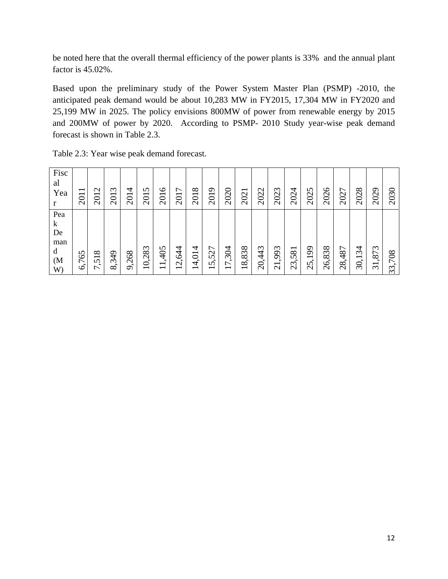be noted here that the overall thermal efficiency of the power plants is 33% and the annual plant factor is 45.02%.

Based upon the preliminary study of the Power System Master Plan (PSMP) -2010, the anticipated peak demand would be about 10,283 MW in FY2015, 17,304 MW in FY2020 and 25,199 MW in 2025. The policy envisions 800MW of power from renewable energy by 2015 and 200MW of power by 2020. According to PSMP- 2010 Study year-wise peak demand forecast is shown in Table 2.3.

| Fisc<br>al<br>Yea<br>r                                      | 2011                 | $\mathbf{\Omega}$<br>201                                  | $\mathfrak{c}$<br>201 | 4<br>201         | 5<br>201 | $\circ$<br>201                    | ↽<br>201 | $\infty$<br>201 | 2019                                 | 2020                              | 2021  | 2022   | 2023                    | 2024   | 2025       | 2026                                     | 2027   | 2028                                  | 2029                                         | 2030                          |
|-------------------------------------------------------------|----------------------|-----------------------------------------------------------|-----------------------|------------------|----------|-----------------------------------|----------|-----------------|--------------------------------------|-----------------------------------|-------|--------|-------------------------|--------|------------|------------------------------------------|--------|---------------------------------------|----------------------------------------------|-------------------------------|
| Pea<br>$\bf k$<br>De<br>man<br>d<br>(M <sup>o</sup> )<br>W) | 765<br>$\mathcal{C}$ | ${}^{\circ}$<br>$\overline{\phantom{0}}$<br>$\mathcal{L}$ | ,349<br>$\infty$      | ,268<br>$\sigma$ | 10,283   | 1,405<br>$\overline{\phantom{0}}$ | 2,644    | 4<br>4,01       | 527<br>5<br>$\overline{\phantom{0}}$ | 7,304<br>$\overline{\phantom{0}}$ | 8,838 | 20,443 | ,993<br>$\overline{21}$ | 23,581 | 199<br>25, | $\infty$<br>$\epsilon$<br>$\infty$<br>26 | 28,487 | 34<br>$\overline{\phantom{0}}$<br>30, | ,873<br>$\overline{\phantom{0}}$<br>$\infty$ | 708<br>$\epsilon$<br>$\omega$ |

| Table 2.3: Year wise peak demand forecast. |  |  |  |  |  |
|--------------------------------------------|--|--|--|--|--|
|--------------------------------------------|--|--|--|--|--|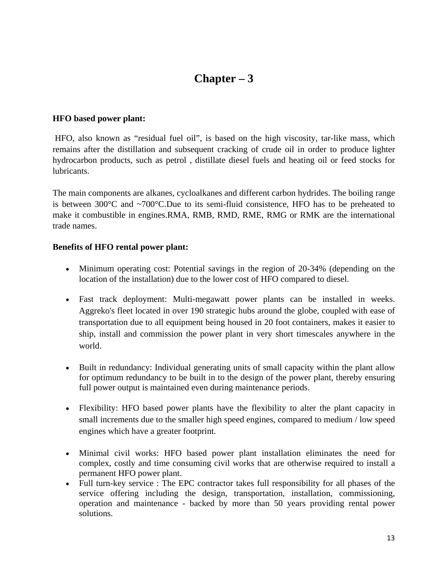## **Chapter – 3**

#### **HFO based power plant:**

 HFO, also known as "residual fuel oil", is based on the high viscosity, tar-like mass, which remains after the distillation and subsequent cracking of crude oil in order to produce lighter hydrocarbon products, such as petrol , distillate diesel fuels and heating oil or feed stocks for lubricants.

The main components are alkanes, cycloalkanes and different carbon hydrides. The boiling range is between 300 $^{\circ}$ C and  $\sim$ 700 $^{\circ}$ C.Due to its semi-fluid consistence, HFO has to be preheated to make it combustible in engines.RMA, RMB, RMD, RME, RMG or RMK are the international trade names.

#### **Benefits of HFO rental power plant:**

- Minimum operating cost: Potential savings in the region of 20-34% (depending on the location of the installation) due to the lower cost of HFO compared to diesel.
- Fast track deployment: Multi-megawatt power plants can be installed in weeks. Aggreko's fleet located in over 190 strategic hubs around the globe, coupled with ease of transportation due to all equipment being housed in 20 foot containers, makes it easier to ship, install and commission the power plant in very short timescales anywhere in the world.
- Built in redundancy: Individual generating units of small capacity within the plant allow for optimum redundancy to be built in to the design of the power plant, thereby ensuring full power output is maintained even during maintenance periods.
- Flexibility: HFO based power plants have the flexibility to alter the plant capacity in small increments due to the smaller high speed engines, compared to medium / low speed engines which have a greater footprint.
- Minimal civil works: HFO based power plant installation eliminates the need for complex, costly and time consuming civil works that are otherwise required to install a permanent HFO power plant.
- Full turn-key service : The EPC contractor takes full responsibility for all phases of the service offering including the design, transportation, installation, commissioning, operation and maintenance - backed by more than 50 years providing rental power solutions.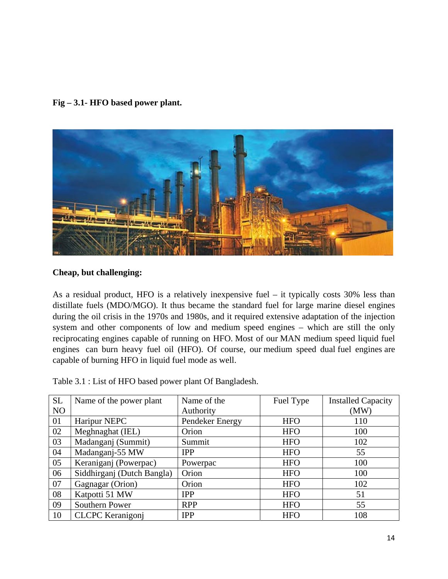**Fig – 3.1- HFO based power plant.** 



#### **Cheap, but challenging:**

As a residual product, HFO is a relatively inexpensive fuel – it typically costs 30% less than distillate fuels (MDO/MGO). It thus became the standard fuel for large marine diesel engines during the oil crisis in the 1970s and 1980s, and it required extensive adaptation of the injection system and other components of low and medium speed engines – which are still the only reciprocating engines capable of running on HFO. Most of our MAN medium speed liquid fuel engines can burn heavy fuel oil (HFO). Of course, our medium speed dual fuel engines are capable of burning HFO in liquid fuel mode as well.

| <b>SL</b>      | Name of the power plant    | Name of the     | Fuel Type  | <b>Installed Capacity</b> |
|----------------|----------------------------|-----------------|------------|---------------------------|
| N <sub>O</sub> |                            | Authority       |            | (MW)                      |
| 01             | Haripur NEPC               | Pendeker Energy | <b>HFO</b> | 110                       |
| 02             | Meghnaghat (IEL)           | Orion           | <b>HFO</b> | 100                       |
| 03             | Madanganj (Summit)         | Summit          | <b>HFO</b> | 102                       |
| 04             | Madanganj-55 MW            | <b>IPP</b>      | <b>HFO</b> | 55                        |
| 05             | Keraniganj (Powerpac)      | Powerpac        | <b>HFO</b> | 100                       |
| 06             | Siddhirganj (Dutch Bangla) | Orion           | <b>HFO</b> | 100                       |
| 07             | Gagnagar (Orion)           | Orion           | <b>HFO</b> | 102                       |
| 08             | Katpotti 51 MW             | <b>IPP</b>      | <b>HFO</b> | 51                        |
| 09             | Southern Power             | <b>RPP</b>      | <b>HFO</b> | 55                        |
| 10             | <b>CLCPC</b> Keranigonj    | <b>IPP</b>      | <b>HFO</b> | 108                       |

Table 3.1 : List of HFO based power plant Of Bangladesh.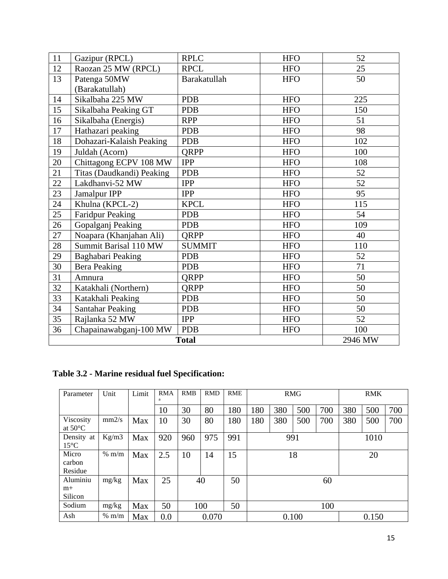| 11 | Gazipur (RPCL)            | <b>RPLC</b>   | <b>HFO</b> | 52  |
|----|---------------------------|---------------|------------|-----|
| 12 | Raozan 25 MW (RPCL)       | <b>RPCL</b>   | <b>HFO</b> | 25  |
| 13 | Patenga 50MW              | Barakatullah  | <b>HFO</b> | 50  |
|    | (Barakatullah)            |               |            |     |
| 14 | Sikalbaha 225 MW          | <b>PDB</b>    | <b>HFO</b> | 225 |
| 15 | Sikalbaha Peaking GT      | <b>PDB</b>    | <b>HFO</b> | 150 |
| 16 | Sikalbaha (Energis)       | <b>RPP</b>    | <b>HFO</b> | 51  |
| 17 | Hathazari peaking         | <b>PDB</b>    | <b>HFO</b> | 98  |
| 18 | Dohazari-Kalaish Peaking  | <b>PDB</b>    | <b>HFO</b> | 102 |
| 19 | Juldah (Acorn)            | QRPP          | <b>HFO</b> | 100 |
| 20 | Chittagong ECPV 108 MW    | <b>IPP</b>    | <b>HFO</b> | 108 |
| 21 | Titas (Daudkandi) Peaking | <b>PDB</b>    | <b>HFO</b> | 52  |
| 22 | Lakdhanvi-52 MW           | <b>IPP</b>    | <b>HFO</b> | 52  |
| 23 | Jamalpur IPP              | <b>IPP</b>    | <b>HFO</b> | 95  |
| 24 | Khulna (KPCL-2)           | <b>KPCL</b>   | <b>HFO</b> | 115 |
| 25 | <b>Faridpur Peaking</b>   | <b>PDB</b>    | <b>HFO</b> | 54  |
| 26 | Gopalganj Peaking         | <b>PDB</b>    | <b>HFO</b> | 109 |
| 27 | Noapara (Khanjahan Ali)   | QRPP          | <b>HFO</b> | 40  |
| 28 | Summit Barisal 110 MW     | <b>SUMMIT</b> | <b>HFO</b> | 110 |
| 29 | Baghabari Peaking         | <b>PDB</b>    | <b>HFO</b> | 52  |
| 30 | <b>Bera Peaking</b>       | <b>PDB</b>    | <b>HFO</b> | 71  |
| 31 | Amnura                    | QRPP          | <b>HFO</b> | 50  |
| 32 | Katakhali (Northern)      | QRPP          | <b>HFO</b> | 50  |
| 33 | Katakhali Peaking         | <b>PDB</b>    | <b>HFO</b> | 50  |
| 34 | <b>Santahar Peaking</b>   | <b>PDB</b>    | <b>HFO</b> | 50  |
| 35 | Rajlanka 52 MW            | <b>IPP</b>    | <b>HFO</b> | 52  |
| 36 | Chapainawabganj-100 MW    | <b>PDB</b>    | <b>HFO</b> | 100 |
|    | <b>Total</b>              | 2946 MW       |            |     |

**Table 3.2 - Marine residual fuel Specification:** 

| Parameter                      | Unit            | Limit | <b>RMA</b><br>a | <b>RMB</b> | <b>RMD</b> | RME | <b>RMG</b> |     |     |      | <b>RMK</b> |     |     |
|--------------------------------|-----------------|-------|-----------------|------------|------------|-----|------------|-----|-----|------|------------|-----|-----|
|                                |                 |       | 10              | 30         | 80         | 180 | 180        | 380 | 500 | 700  | 380        | 500 | 700 |
| Viscosity<br>at $50^{\circ}$ C | mm2/s           | Max   | 10              | 30         | 80         | 180 | 180        | 380 | 500 | 700  | 380        | 500 | 700 |
| Density at<br>$15^{\circ}$ C   | Kg/m3           | Max   | 920             | 960        | 975        | 991 | 991        |     |     | 1010 |            |     |     |
| Micro<br>carbon<br>Residue     | $% \frac{m}{m}$ | Max   | 2.5             | 10         | 14         | 15  |            | 18  |     |      | 20         |     |     |
| Aluminiu<br>$m+$<br>Silicon    | mg/kg           | Max   | 25              | 40         |            | 50  |            |     |     | 60   |            |     |     |
| Sodium                         | mg/kg           | Max   | 50              | 50<br>100  |            |     | 100        |     |     |      |            |     |     |
| Ash                            | $% \text{ m/m}$ | Max   | 0.0             |            | 0.070      |     | 0.100      |     |     |      | 0.150      |     |     |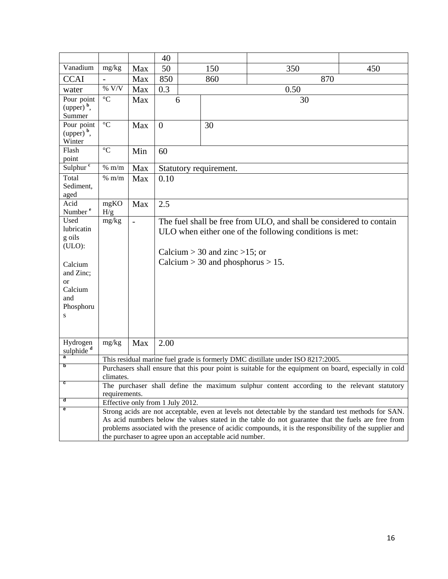|                          |                                                        |                | 40             |                                                         |                                       |                                                                                                         |     |  |  |  |  |
|--------------------------|--------------------------------------------------------|----------------|----------------|---------------------------------------------------------|---------------------------------------|---------------------------------------------------------------------------------------------------------|-----|--|--|--|--|
| Vanadium                 | mg/kg                                                  | Max            | 50             |                                                         | 150                                   | 350                                                                                                     | 450 |  |  |  |  |
| <b>CCAI</b>              | $\qquad \qquad \blacksquare$                           | Max            | 850            |                                                         | 860                                   | 870                                                                                                     |     |  |  |  |  |
| water                    | $\%$ V/V                                               | Max            | 0.3            |                                                         |                                       | 0.50                                                                                                    |     |  |  |  |  |
| Pour point               | $\rm ^{\circ}C$                                        | Max            | 6              |                                                         |                                       | 30                                                                                                      |     |  |  |  |  |
| $(upper)$ <sup>b</sup> , |                                                        |                |                |                                                         |                                       |                                                                                                         |     |  |  |  |  |
| Summer                   |                                                        |                |                |                                                         |                                       |                                                                                                         |     |  |  |  |  |
| Pour point               | $\rm ^{\circ}C$                                        | Max            | $\overline{0}$ |                                                         | 30                                    |                                                                                                         |     |  |  |  |  |
| $(upper)$ <sup>b</sup> , |                                                        |                |                |                                                         |                                       |                                                                                                         |     |  |  |  |  |
| Winter<br>Flash          | $\rm ^{\circ}C$                                        | Min            | 60             |                                                         |                                       |                                                                                                         |     |  |  |  |  |
| point                    |                                                        |                |                |                                                         |                                       |                                                                                                         |     |  |  |  |  |
| Sulphur <sup>c</sup>     | $\%~\mathrm{m/m}$                                      | Max            |                |                                                         | Statutory requirement.                |                                                                                                         |     |  |  |  |  |
| Total                    | % m/m                                                  | Max            | 0.10           |                                                         |                                       |                                                                                                         |     |  |  |  |  |
| Sediment,                |                                                        |                |                |                                                         |                                       |                                                                                                         |     |  |  |  |  |
| aged                     |                                                        |                |                |                                                         |                                       |                                                                                                         |     |  |  |  |  |
| Acid                     | mgKO                                                   | Max            | 2.5            |                                                         |                                       |                                                                                                         |     |  |  |  |  |
| Number <sup>e</sup>      | H/g                                                    |                |                |                                                         |                                       |                                                                                                         |     |  |  |  |  |
| Used<br>lubricatin       | mg/kg                                                  | $\overline{a}$ |                |                                                         |                                       | The fuel shall be free from ULO, and shall be considered to contain                                     |     |  |  |  |  |
| g oils                   |                                                        |                |                | ULO when either one of the following conditions is met: |                                       |                                                                                                         |     |  |  |  |  |
| (ULO):                   |                                                        |                |                |                                                         |                                       |                                                                                                         |     |  |  |  |  |
|                          |                                                        |                |                |                                                         | Calcium > 30 and zinc > 15; or        |                                                                                                         |     |  |  |  |  |
| Calcium                  |                                                        |                |                |                                                         | Calcium $>$ 30 and phosphorus $>$ 15. |                                                                                                         |     |  |  |  |  |
| and Zinc;                |                                                        |                |                |                                                         |                                       |                                                                                                         |     |  |  |  |  |
| <sub>or</sub>            |                                                        |                |                |                                                         |                                       |                                                                                                         |     |  |  |  |  |
| Calcium                  |                                                        |                |                |                                                         |                                       |                                                                                                         |     |  |  |  |  |
| and                      |                                                        |                |                |                                                         |                                       |                                                                                                         |     |  |  |  |  |
| Phosphoru<br>S           |                                                        |                |                |                                                         |                                       |                                                                                                         |     |  |  |  |  |
|                          |                                                        |                |                |                                                         |                                       |                                                                                                         |     |  |  |  |  |
|                          |                                                        |                |                |                                                         |                                       |                                                                                                         |     |  |  |  |  |
| Hydrogen                 | mg/kg                                                  | Max            | 2.00           |                                                         |                                       |                                                                                                         |     |  |  |  |  |
| sulphide <sup>d</sup>    |                                                        |                |                |                                                         |                                       |                                                                                                         |     |  |  |  |  |
|                          |                                                        |                |                |                                                         |                                       | This residual marine fuel grade is formerly DMC distillate under ISO 8217:2005.                         |     |  |  |  |  |
| b                        | climates.                                              |                |                |                                                         |                                       | Purchasers shall ensure that this pour point is suitable for the equipment on board, especially in cold |     |  |  |  |  |
| c                        |                                                        |                |                |                                                         |                                       | The purchaser shall define the maximum sulphur content according to the relevant statutory              |     |  |  |  |  |
|                          | requirements.                                          |                |                |                                                         |                                       |                                                                                                         |     |  |  |  |  |
| đ                        | Effective only from 1 July 2012.                       |                |                |                                                         |                                       |                                                                                                         |     |  |  |  |  |
| е                        |                                                        |                |                |                                                         |                                       | Strong acids are not acceptable, even at levels not detectable by the standard test methods for SAN.    |     |  |  |  |  |
|                          |                                                        |                |                |                                                         |                                       | As acid numbers below the values stated in the table do not guarantee that the fuels are free from      |     |  |  |  |  |
|                          |                                                        |                |                |                                                         |                                       | problems associated with the presence of acidic compounds, it is the responsibility of the supplier and |     |  |  |  |  |
|                          | the purchaser to agree upon an acceptable acid number. |                |                |                                                         |                                       |                                                                                                         |     |  |  |  |  |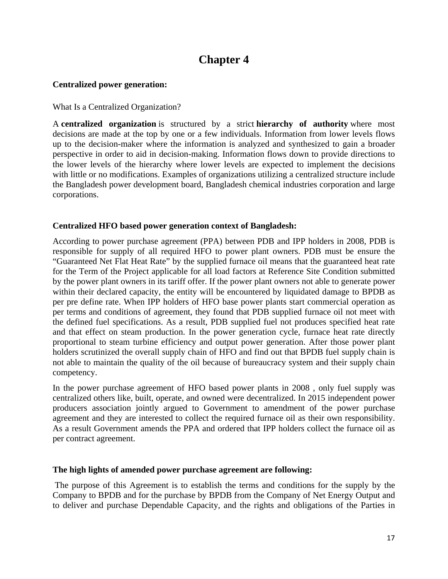## **Chapter 4**

## **Centralized power generation:**

What Is a Centralized Organization?

A **centralized organization** is structured by a strict **hierarchy of authority** where most decisions are made at the top by one or a few individuals. Information from lower levels flows up to the decision-maker where the information is analyzed and synthesized to gain a broader perspective in order to aid in decision-making. Information flows down to provide directions to the lower levels of the hierarchy where lower levels are expected to implement the decisions with little or no modifications. Examples of organizations utilizing a centralized structure include the Bangladesh power development board, Bangladesh chemical industries corporation and large corporations.

## **Centralized HFO based power generation context of Bangladesh:**

According to power purchase agreement (PPA) between PDB and IPP holders in 2008, PDB is responsible for supply of all required HFO to power plant owners. PDB must be ensure the "Guaranteed Net Flat Heat Rate" by the supplied furnace oil means that the guaranteed heat rate for the Term of the Project applicable for all load factors at Reference Site Condition submitted by the power plant owners in its tariff offer. If the power plant owners not able to generate power within their declared capacity, the entity will be encountered by liquidated damage to BPDB as per pre define rate. When IPP holders of HFO base power plants start commercial operation as per terms and conditions of agreement, they found that PDB supplied furnace oil not meet with the defined fuel specifications. As a result, PDB supplied fuel not produces specified heat rate and that effect on steam production. In the power generation cycle, furnace heat rate directly proportional to steam turbine efficiency and output power generation. After those power plant holders scrutinized the overall supply chain of HFO and find out that BPDB fuel supply chain is not able to maintain the quality of the oil because of bureaucracy system and their supply chain competency.

In the power purchase agreement of HFO based power plants in 2008 , only fuel supply was centralized others like, built, operate, and owned were decentralized. In 2015 independent power producers association jointly argued to Government to amendment of the power purchase agreement and they are interested to collect the required furnace oil as their own responsibility. As a result Government amends the PPA and ordered that IPP holders collect the furnace oil as per contract agreement.

#### **The high lights of amended power purchase agreement are following:**

 The purpose of this Agreement is to establish the terms and conditions for the supply by the Company to BPDB and for the purchase by BPDB from the Company of Net Energy Output and to deliver and purchase Dependable Capacity, and the rights and obligations of the Parties in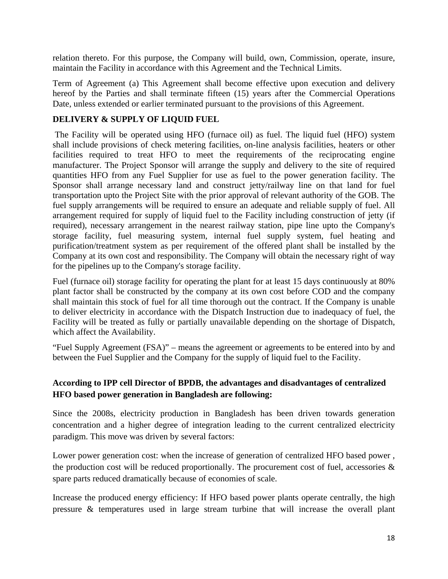relation thereto. For this purpose, the Company will build, own, Commission, operate, insure, maintain the Facility in accordance with this Agreement and the Technical Limits.

Term of Agreement (a) This Agreement shall become effective upon execution and delivery hereof by the Parties and shall terminate fifteen (15) years after the Commercial Operations Date, unless extended or earlier terminated pursuant to the provisions of this Agreement.

## **DELIVERY & SUPPLY OF LIQUID FUEL**

 The Facility will be operated using HFO (furnace oil) as fuel. The liquid fuel (HFO) system shall include provisions of check metering facilities, on-line analysis facilities, heaters or other facilities required to treat HFO to meet the requirements of the reciprocating engine manufacturer. The Project Sponsor will arrange the supply and delivery to the site of required quantities HFO from any Fuel Supplier for use as fuel to the power generation facility. The Sponsor shall arrange necessary land and construct jetty/railway line on that land for fuel transportation upto the Project Site with the prior approval of relevant authority of the GOB. The fuel supply arrangements will be required to ensure an adequate and reliable supply of fuel. All arrangement required for supply of liquid fuel to the Facility including construction of jetty (if required), necessary arrangement in the nearest railway station, pipe line upto the Company's storage facility, fuel measuring system, internal fuel supply system, fuel heating and purification/treatment system as per requirement of the offered plant shall be installed by the Company at its own cost and responsibility. The Company will obtain the necessary right of way for the pipelines up to the Company's storage facility.

Fuel (furnace oil) storage facility for operating the plant for at least 15 days continuously at 80% plant factor shall be constructed by the company at its own cost before COD and the company shall maintain this stock of fuel for all time thorough out the contract. If the Company is unable to deliver electricity in accordance with the Dispatch Instruction due to inadequacy of fuel, the Facility will be treated as fully or partially unavailable depending on the shortage of Dispatch, which affect the Availability.

"Fuel Supply Agreement (FSA)" – means the agreement or agreements to be entered into by and between the Fuel Supplier and the Company for the supply of liquid fuel to the Facility.

## **According to IPP cell Director of BPDB, the advantages and disadvantages of centralized HFO based power generation in Bangladesh are following:**

Since the 2008s, electricity production in Bangladesh has been driven towards generation concentration and a higher degree of integration leading to the current centralized electricity paradigm. This move was driven by several factors:

Lower power generation cost: when the increase of generation of centralized HFO based power , the production cost will be reduced proportionally. The procurement cost of fuel, accessories  $\&$ spare parts reduced dramatically because of economies of scale.

Increase the produced energy efficiency: If HFO based power plants operate centrally, the high pressure & temperatures used in large stream turbine that will increase the overall plant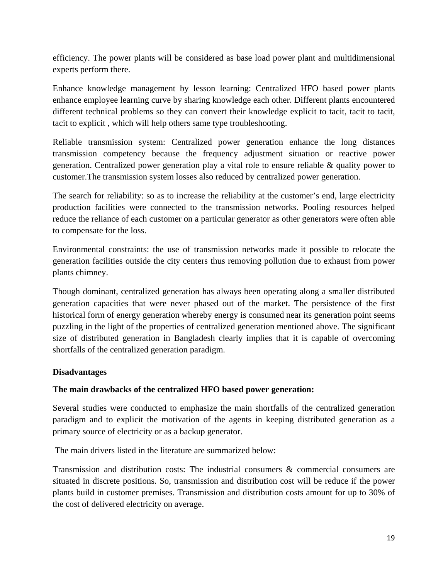efficiency. The power plants will be considered as base load power plant and multidimensional experts perform there.

Enhance knowledge management by lesson learning: Centralized HFO based power plants enhance employee learning curve by sharing knowledge each other. Different plants encountered different technical problems so they can convert their knowledge explicit to tacit, tacit to tacit, tacit to explicit , which will help others same type troubleshooting.

Reliable transmission system: Centralized power generation enhance the long distances transmission competency because the frequency adjustment situation or reactive power generation. Centralized power generation play a vital role to ensure reliable & quality power to customer.The transmission system losses also reduced by centralized power generation.

The search for reliability: so as to increase the reliability at the customer's end, large electricity production facilities were connected to the transmission networks. Pooling resources helped reduce the reliance of each customer on a particular generator as other generators were often able to compensate for the loss.

Environmental constraints: the use of transmission networks made it possible to relocate the generation facilities outside the city centers thus removing pollution due to exhaust from power plants chimney.

Though dominant, centralized generation has always been operating along a smaller distributed generation capacities that were never phased out of the market. The persistence of the first historical form of energy generation whereby energy is consumed near its generation point seems puzzling in the light of the properties of centralized generation mentioned above. The significant size of distributed generation in Bangladesh clearly implies that it is capable of overcoming shortfalls of the centralized generation paradigm.

## **Disadvantages**

## **The main drawbacks of the centralized HFO based power generation:**

Several studies were conducted to emphasize the main shortfalls of the centralized generation paradigm and to explicit the motivation of the agents in keeping distributed generation as a primary source of electricity or as a backup generator.

The main drivers listed in the literature are summarized below:

Transmission and distribution costs: The industrial consumers & commercial consumers are situated in discrete positions. So, transmission and distribution cost will be reduce if the power plants build in customer premises. Transmission and distribution costs amount for up to 30% of the cost of delivered electricity on average.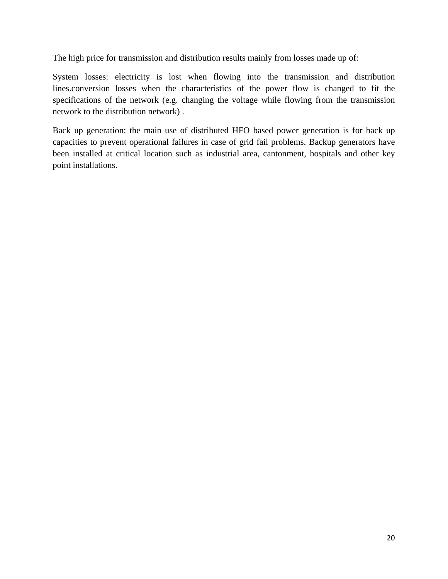The high price for transmission and distribution results mainly from losses made up of:

System losses: electricity is lost when flowing into the transmission and distribution lines.conversion losses when the characteristics of the power flow is changed to fit the specifications of the network (e.g. changing the voltage while flowing from the transmission network to the distribution network) .

Back up generation: the main use of distributed HFO based power generation is for back up capacities to prevent operational failures in case of grid fail problems. Backup generators have been installed at critical location such as industrial area, cantonment, hospitals and other key point installations.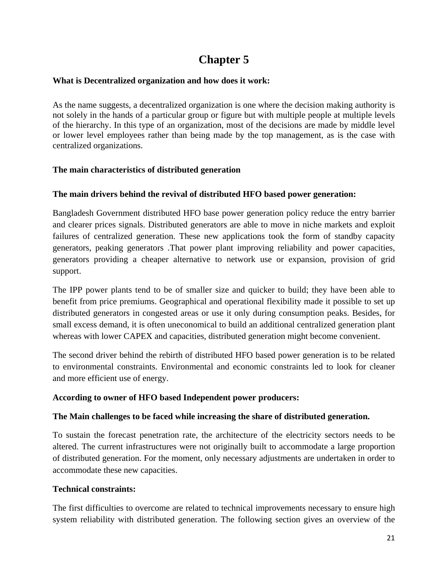# **Chapter 5**

## **What is Decentralized organization and how does it work:**

As the name suggests, a decentralized organization is one where the decision making authority is not solely in the hands of a particular group or figure but with multiple people at multiple levels of the hierarchy. In this type of an organization, most of the decisions are made by middle level or lower level employees rather than being made by the top management, as is the case with centralized organizations.

## **The main characteristics of distributed generation**

## **The main drivers behind the revival of distributed HFO based power generation:**

Bangladesh Government distributed HFO base power generation policy reduce the entry barrier and clearer prices signals. Distributed generators are able to move in niche markets and exploit failures of centralized generation. These new applications took the form of standby capacity generators, peaking generators .That power plant improving reliability and power capacities, generators providing a cheaper alternative to network use or expansion, provision of grid support.

The IPP power plants tend to be of smaller size and quicker to build; they have been able to benefit from price premiums. Geographical and operational flexibility made it possible to set up distributed generators in congested areas or use it only during consumption peaks. Besides, for small excess demand, it is often uneconomical to build an additional centralized generation plant whereas with lower CAPEX and capacities, distributed generation might become convenient.

The second driver behind the rebirth of distributed HFO based power generation is to be related to environmental constraints. Environmental and economic constraints led to look for cleaner and more efficient use of energy.

## **According to owner of HFO based Independent power producers:**

## **The Main challenges to be faced while increasing the share of distributed generation.**

To sustain the forecast penetration rate, the architecture of the electricity sectors needs to be altered. The current infrastructures were not originally built to accommodate a large proportion of distributed generation. For the moment, only necessary adjustments are undertaken in order to accommodate these new capacities.

## **Technical constraints:**

The first difficulties to overcome are related to technical improvements necessary to ensure high system reliability with distributed generation. The following section gives an overview of the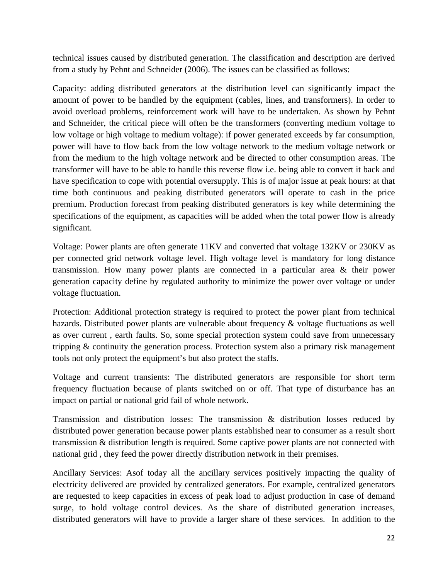technical issues caused by distributed generation. The classification and description are derived from a study by Pehnt and Schneider (2006). The issues can be classified as follows:

Capacity: adding distributed generators at the distribution level can significantly impact the amount of power to be handled by the equipment (cables, lines, and transformers). In order to avoid overload problems, reinforcement work will have to be undertaken. As shown by Pehnt and Schneider, the critical piece will often be the transformers (converting medium voltage to low voltage or high voltage to medium voltage): if power generated exceeds by far consumption, power will have to flow back from the low voltage network to the medium voltage network or from the medium to the high voltage network and be directed to other consumption areas. The transformer will have to be able to handle this reverse flow i.e. being able to convert it back and have specification to cope with potential oversupply. This is of major issue at peak hours: at that time both continuous and peaking distributed generators will operate to cash in the price premium. Production forecast from peaking distributed generators is key while determining the specifications of the equipment, as capacities will be added when the total power flow is already significant.

Voltage: Power plants are often generate 11KV and converted that voltage 132KV or 230KV as per connected grid network voltage level. High voltage level is mandatory for long distance transmission. How many power plants are connected in a particular area & their power generation capacity define by regulated authority to minimize the power over voltage or under voltage fluctuation.

Protection: Additional protection strategy is required to protect the power plant from technical hazards. Distributed power plants are vulnerable about frequency & voltage fluctuations as well as over current , earth faults. So, some special protection system could save from unnecessary tripping & continuity the generation process. Protection system also a primary risk management tools not only protect the equipment's but also protect the staffs.

Voltage and current transients: The distributed generators are responsible for short term frequency fluctuation because of plants switched on or off. That type of disturbance has an impact on partial or national grid fail of whole network.

Transmission and distribution losses: The transmission & distribution losses reduced by distributed power generation because power plants established near to consumer as a result short transmission & distribution length is required. Some captive power plants are not connected with national grid , they feed the power directly distribution network in their premises.

Ancillary Services: Asof today all the ancillary services positively impacting the quality of electricity delivered are provided by centralized generators. For example, centralized generators are requested to keep capacities in excess of peak load to adjust production in case of demand surge, to hold voltage control devices. As the share of distributed generation increases, distributed generators will have to provide a larger share of these services. In addition to the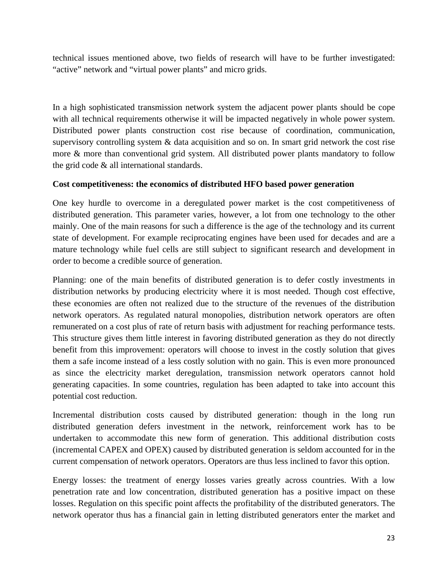technical issues mentioned above, two fields of research will have to be further investigated: "active" network and "virtual power plants" and micro grids.

In a high sophisticated transmission network system the adjacent power plants should be cope with all technical requirements otherwise it will be impacted negatively in whole power system. Distributed power plants construction cost rise because of coordination, communication, supervisory controlling system & data acquisition and so on. In smart grid network the cost rise more & more than conventional grid system. All distributed power plants mandatory to follow the grid code & all international standards.

## **Cost competitiveness: the economics of distributed HFO based power generation**

One key hurdle to overcome in a deregulated power market is the cost competitiveness of distributed generation. This parameter varies, however, a lot from one technology to the other mainly. One of the main reasons for such a difference is the age of the technology and its current state of development. For example reciprocating engines have been used for decades and are a mature technology while fuel cells are still subject to significant research and development in order to become a credible source of generation.

Planning: one of the main benefits of distributed generation is to defer costly investments in distribution networks by producing electricity where it is most needed. Though cost effective, these economies are often not realized due to the structure of the revenues of the distribution network operators. As regulated natural monopolies, distribution network operators are often remunerated on a cost plus of rate of return basis with adjustment for reaching performance tests. This structure gives them little interest in favoring distributed generation as they do not directly benefit from this improvement: operators will choose to invest in the costly solution that gives them a safe income instead of a less costly solution with no gain. This is even more pronounced as since the electricity market deregulation, transmission network operators cannot hold generating capacities. In some countries, regulation has been adapted to take into account this potential cost reduction.

Incremental distribution costs caused by distributed generation: though in the long run distributed generation defers investment in the network, reinforcement work has to be undertaken to accommodate this new form of generation. This additional distribution costs (incremental CAPEX and OPEX) caused by distributed generation is seldom accounted for in the current compensation of network operators. Operators are thus less inclined to favor this option.

Energy losses: the treatment of energy losses varies greatly across countries. With a low penetration rate and low concentration, distributed generation has a positive impact on these losses. Regulation on this specific point affects the profitability of the distributed generators. The network operator thus has a financial gain in letting distributed generators enter the market and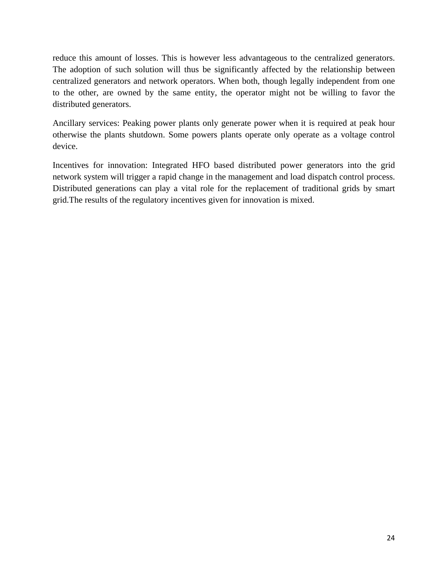reduce this amount of losses. This is however less advantageous to the centralized generators. The adoption of such solution will thus be significantly affected by the relationship between centralized generators and network operators. When both, though legally independent from one to the other, are owned by the same entity, the operator might not be willing to favor the distributed generators.

Ancillary services: Peaking power plants only generate power when it is required at peak hour otherwise the plants shutdown. Some powers plants operate only operate as a voltage control device.

Incentives for innovation: Integrated HFO based distributed power generators into the grid network system will trigger a rapid change in the management and load dispatch control process. Distributed generations can play a vital role for the replacement of traditional grids by smart grid.The results of the regulatory incentives given for innovation is mixed.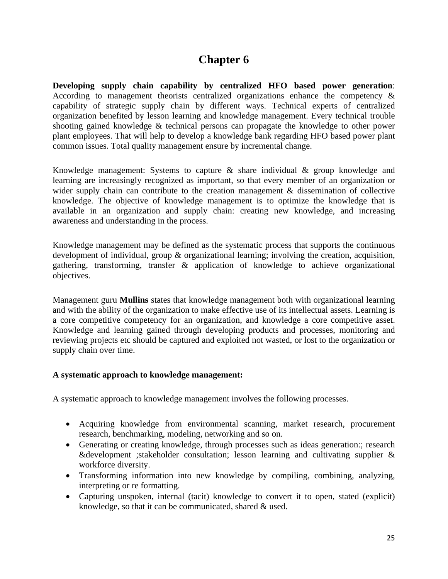## **Chapter 6**

**Developing supply chain capability by centralized HFO based power generation**: According to management theorists centralized organizations enhance the competency & capability of strategic supply chain by different ways. Technical experts of centralized organization benefited by lesson learning and knowledge management. Every technical trouble shooting gained knowledge & technical persons can propagate the knowledge to other power plant employees. That will help to develop a knowledge bank regarding HFO based power plant common issues. Total quality management ensure by incremental change.

Knowledge management: Systems to capture & share individual & group knowledge and learning are increasingly recognized as important, so that every member of an organization or wider supply chain can contribute to the creation management & dissemination of collective knowledge. The objective of knowledge management is to optimize the knowledge that is available in an organization and supply chain: creating new knowledge, and increasing awareness and understanding in the process.

Knowledge management may be defined as the systematic process that supports the continuous development of individual, group & organizational learning; involving the creation, acquisition, gathering, transforming, transfer & application of knowledge to achieve organizational objectives.

Management guru **Mullins** states that knowledge management both with organizational learning and with the ability of the organization to make effective use of its intellectual assets. Learning is a core competitive competency for an organization, and knowledge a core competitive asset. Knowledge and learning gained through developing products and processes, monitoring and reviewing projects etc should be captured and exploited not wasted, or lost to the organization or supply chain over time.

## **A systematic approach to knowledge management:**

A systematic approach to knowledge management involves the following processes.

- Acquiring knowledge from environmental scanning, market research, procurement research, benchmarking, modeling, networking and so on.
- Generating or creating knowledge, through processes such as ideas generation:; research &development ;stakeholder consultation; lesson learning and cultivating supplier  $\&$ workforce diversity.
- Transforming information into new knowledge by compiling, combining, analyzing, interpreting or re formatting.
- Capturing unspoken, internal (tacit) knowledge to convert it to open, stated (explicit) knowledge, so that it can be communicated, shared & used.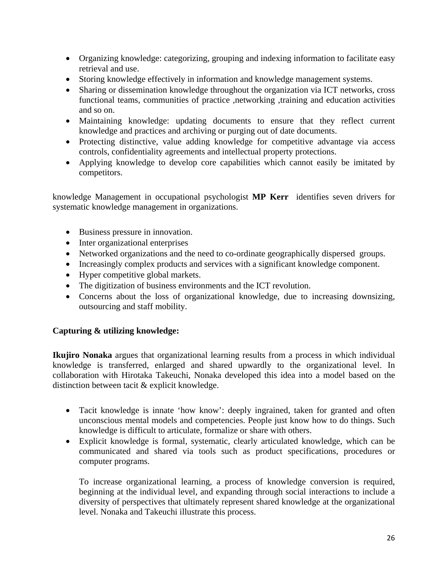- Organizing knowledge: categorizing, grouping and indexing information to facilitate easy retrieval and use.
- Storing knowledge effectively in information and knowledge management systems.
- Sharing or dissemination knowledge throughout the organization via ICT networks, cross functional teams, communities of practice ,networking ,training and education activities and so on.
- Maintaining knowledge: updating documents to ensure that they reflect current knowledge and practices and archiving or purging out of date documents.
- Protecting distinctive, value adding knowledge for competitive advantage via access controls, confidentiality agreements and intellectual property protections.
- Applying knowledge to develop core capabilities which cannot easily be imitated by competitors.

knowledge Management in occupational psychologist **MP Kerr** identifies seven drivers for systematic knowledge management in organizations.

- Business pressure in innovation.
- Inter organizational enterprises
- Networked organizations and the need to co-ordinate geographically dispersed groups.
- Increasingly complex products and services with a significant knowledge component.
- Hyper competitive global markets.
- The digitization of business environments and the ICT revolution.
- Concerns about the loss of organizational knowledge, due to increasing downsizing, outsourcing and staff mobility.

## **Capturing & utilizing knowledge:**

**Ikujiro Nonaka** argues that organizational learning results from a process in which individual knowledge is transferred, enlarged and shared upwardly to the organizational level. In collaboration with Hirotaka Takeuchi, Nonaka developed this idea into a model based on the distinction between tacit & explicit knowledge.

- Tacit knowledge is innate 'how know': deeply ingrained, taken for granted and often unconscious mental models and competencies. People just know how to do things. Such knowledge is difficult to articulate, formalize or share with others.
- Explicit knowledge is formal, systematic, clearly articulated knowledge, which can be communicated and shared via tools such as product specifications, procedures or computer programs.

To increase organizational learning, a process of knowledge conversion is required, beginning at the individual level, and expanding through social interactions to include a diversity of perspectives that ultimately represent shared knowledge at the organizational level. Nonaka and Takeuchi illustrate this process.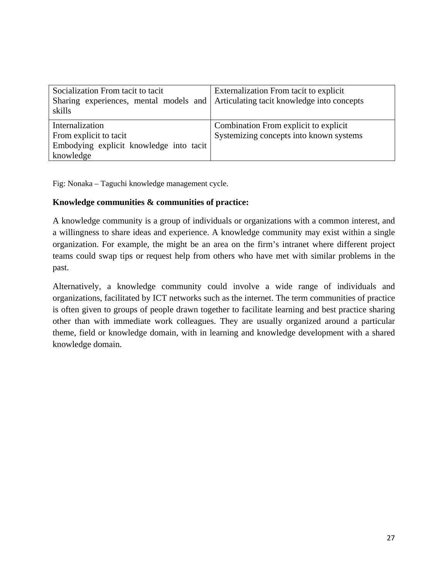| Socialization From tacit to tacit<br>Sharing experiences, mental models and Articulating tacit knowledge into concepts<br>skills | Externalization From tacit to explicit  |
|----------------------------------------------------------------------------------------------------------------------------------|-----------------------------------------|
| Internalization                                                                                                                  | Combination From explicit to explicit   |
| From explicit to tacit                                                                                                           | Systemizing concepts into known systems |
| Embodying explicit knowledge into tacit                                                                                          |                                         |
| knowledge                                                                                                                        |                                         |

Fig: Nonaka – Taguchi knowledge management cycle.

#### **Knowledge communities & communities of practice:**

A knowledge community is a group of individuals or organizations with a common interest, and a willingness to share ideas and experience. A knowledge community may exist within a single organization. For example, the might be an area on the firm's intranet where different project teams could swap tips or request help from others who have met with similar problems in the past.

Alternatively, a knowledge community could involve a wide range of individuals and organizations, facilitated by ICT networks such as the internet. The term communities of practice is often given to groups of people drawn together to facilitate learning and best practice sharing other than with immediate work colleagues. They are usually organized around a particular theme, field or knowledge domain, with in learning and knowledge development with a shared knowledge domain.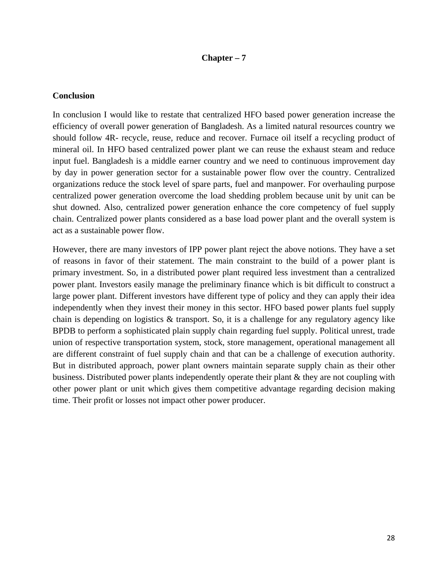#### **Chapter – 7**

#### **Conclusion**

In conclusion I would like to restate that centralized HFO based power generation increase the efficiency of overall power generation of Bangladesh. As a limited natural resources country we should follow 4R- recycle, reuse, reduce and recover. Furnace oil itself a recycling product of mineral oil. In HFO based centralized power plant we can reuse the exhaust steam and reduce input fuel. Bangladesh is a middle earner country and we need to continuous improvement day by day in power generation sector for a sustainable power flow over the country. Centralized organizations reduce the stock level of spare parts, fuel and manpower. For overhauling purpose centralized power generation overcome the load shedding problem because unit by unit can be shut downed. Also, centralized power generation enhance the core competency of fuel supply chain. Centralized power plants considered as a base load power plant and the overall system is act as a sustainable power flow.

However, there are many investors of IPP power plant reject the above notions. They have a set of reasons in favor of their statement. The main constraint to the build of a power plant is primary investment. So, in a distributed power plant required less investment than a centralized power plant. Investors easily manage the preliminary finance which is bit difficult to construct a large power plant. Different investors have different type of policy and they can apply their idea independently when they invest their money in this sector. HFO based power plants fuel supply chain is depending on logistics & transport. So, it is a challenge for any regulatory agency like BPDB to perform a sophisticated plain supply chain regarding fuel supply. Political unrest, trade union of respective transportation system, stock, store management, operational management all are different constraint of fuel supply chain and that can be a challenge of execution authority. But in distributed approach, power plant owners maintain separate supply chain as their other business. Distributed power plants independently operate their plant & they are not coupling with other power plant or unit which gives them competitive advantage regarding decision making time. Their profit or losses not impact other power producer.